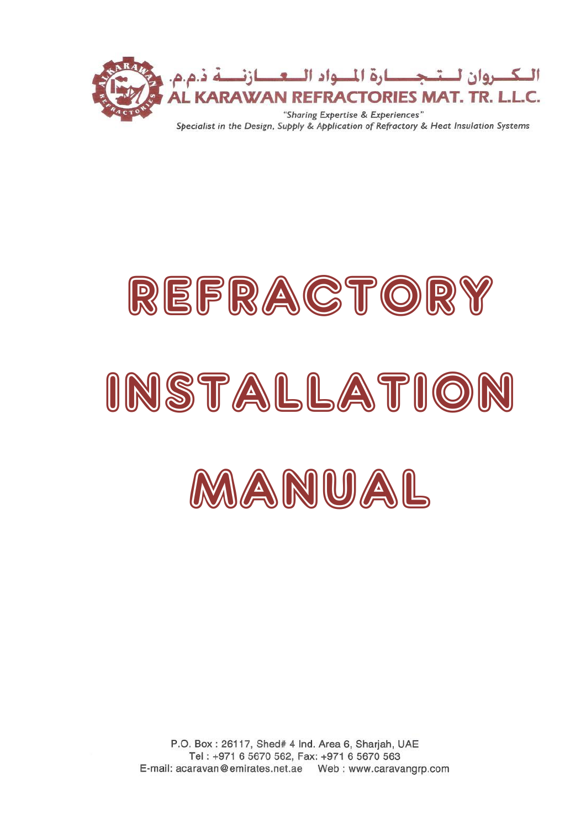

# REFRACTOR INSTALLATIOI MANUAL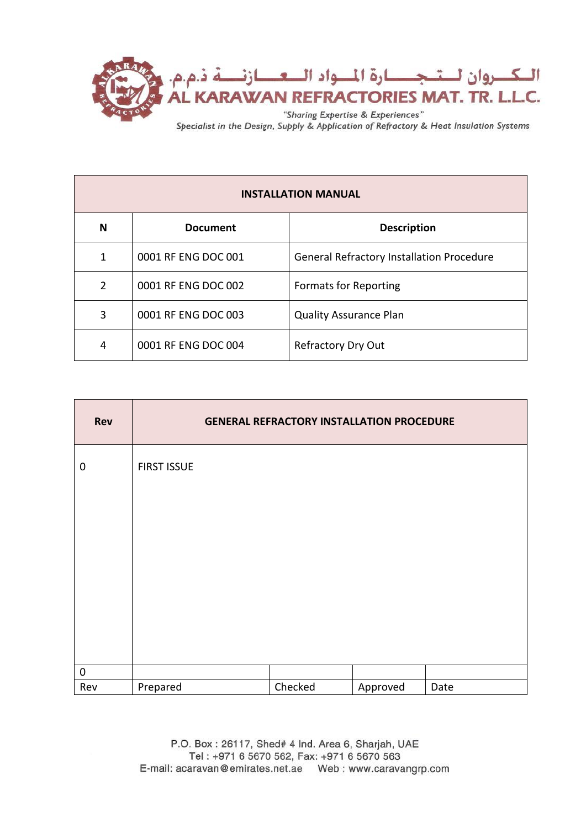

| <b>INSTALLATION MANUAL</b> |                     |                                                  |  |  |
|----------------------------|---------------------|--------------------------------------------------|--|--|
| N                          | <b>Document</b>     | <b>Description</b>                               |  |  |
| 1                          | 0001 RF ENG DOC 001 | <b>General Refractory Installation Procedure</b> |  |  |
| $\overline{2}$             | 0001 RF ENG DOC 002 | <b>Formats for Reporting</b>                     |  |  |
| 3                          | 0001 RF ENG DOC 003 | <b>Quality Assurance Plan</b>                    |  |  |
| 4                          | 0001 RF ENG DOC 004 | Refractory Dry Out                               |  |  |

| Rev              |                    | <b>GENERAL REFRACTORY INSTALLATION PROCEDURE</b> |          |      |
|------------------|--------------------|--------------------------------------------------|----------|------|
| $\mathbf 0$      | <b>FIRST ISSUE</b> |                                                  |          |      |
|                  |                    |                                                  |          |      |
|                  |                    |                                                  |          |      |
|                  |                    |                                                  |          |      |
|                  |                    |                                                  |          |      |
|                  |                    |                                                  |          |      |
| $\boldsymbol{0}$ |                    |                                                  |          |      |
| Rev              | Prepared           | Checked                                          | Approved | Date |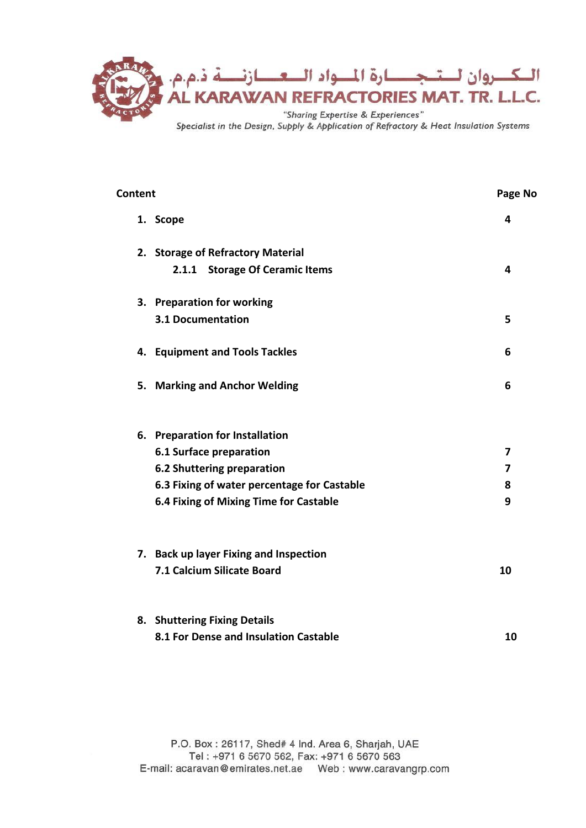

| <b>Content</b> |                                             |    |  |  |
|----------------|---------------------------------------------|----|--|--|
|                | 1. Scope                                    | 4  |  |  |
|                | 2. Storage of Refractory Material           |    |  |  |
|                | 2.1.1 Storage Of Ceramic Items              | 4  |  |  |
|                | 3. Preparation for working                  |    |  |  |
|                | <b>3.1 Documentation</b>                    | 5  |  |  |
|                | 4. Equipment and Tools Tackles              | 6  |  |  |
|                | 5. Marking and Anchor Welding               | 6  |  |  |
|                | 6. Preparation for Installation             |    |  |  |
|                | 6.1 Surface preparation                     | 7  |  |  |
|                | 6.2 Shuttering preparation                  | 7  |  |  |
|                | 6.3 Fixing of water percentage for Castable | 8  |  |  |
|                | 6.4 Fixing of Mixing Time for Castable      | 9  |  |  |
|                | 7. Back up layer Fixing and Inspection      |    |  |  |
|                | 7.1 Calcium Silicate Board                  | 10 |  |  |
|                | 8. Shuttering Fixing Details                |    |  |  |
|                | 8.1 For Dense and Insulation Castable       | 10 |  |  |
|                |                                             |    |  |  |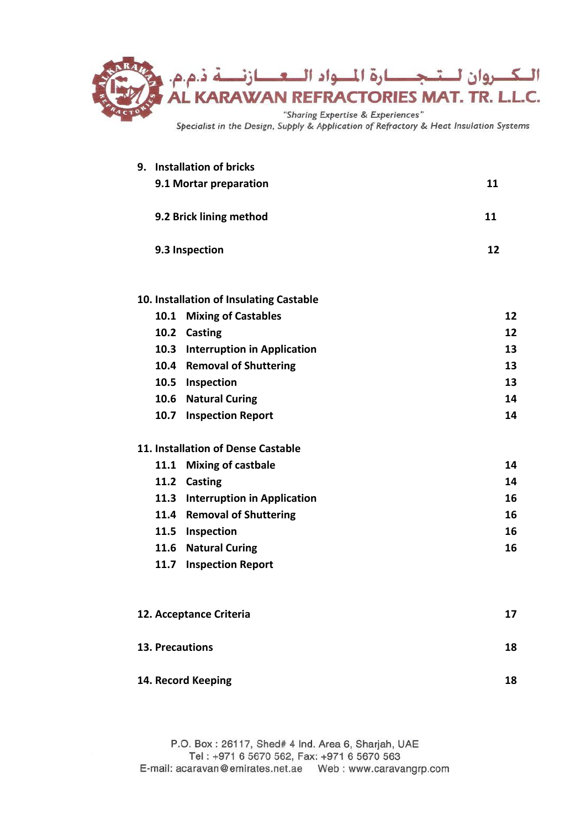

|                     |      | 9. Installation of bricks               |    |
|---------------------|------|-----------------------------------------|----|
|                     |      | 9.1 Mortar preparation                  | 11 |
|                     |      | 9.2 Brick lining method                 | 11 |
|                     |      | 9.3 Inspection                          | 12 |
|                     |      | 10. Installation of Insulating Castable |    |
|                     | 10.1 | <b>Mixing of Castables</b>              | 12 |
|                     |      | 10.2 Casting                            | 12 |
|                     |      | 10.3 Interruption in Application        | 13 |
|                     |      | 10.4 Removal of Shuttering              | 13 |
|                     |      | 10.5 Inspection                         | 13 |
| 10.6 Natural Curing |      |                                         | 14 |
|                     |      | 10.7 Inspection Report                  | 14 |
|                     |      | 11. Installation of Dense Castable      |    |
|                     |      | 11.1 Mixing of castbale                 | 14 |
|                     |      | 11.2 Casting                            | 14 |
|                     |      | 11.3 Interruption in Application        | 16 |
|                     |      | 11.4 Removal of Shuttering              | 16 |
|                     |      | 11.5 Inspection                         | 16 |
|                     |      | 11.6 Natural Curing                     | 16 |
|                     |      | 11.7 Inspection Report                  |    |
|                     |      | 12. Acceptance Criteria                 | 17 |
|                     |      | <b>13. Precautions</b>                  | 18 |
|                     |      | 14. Record Keeping                      | 18 |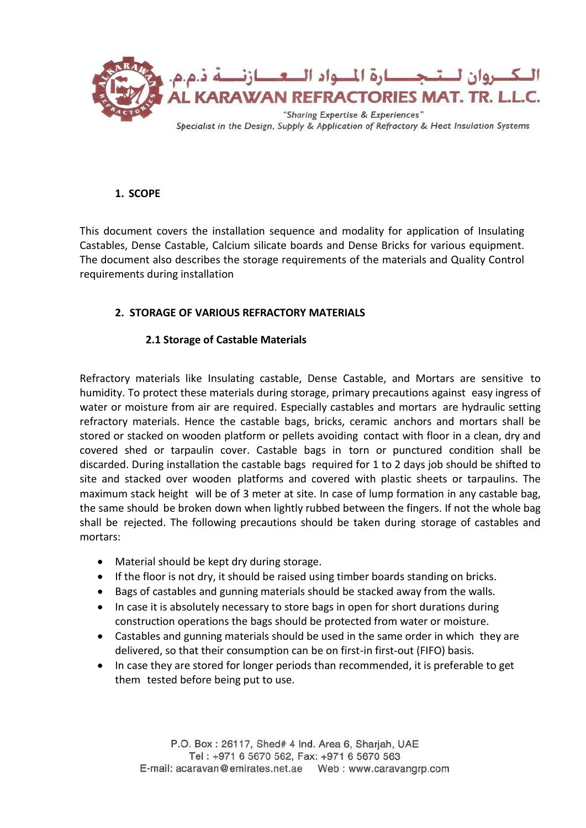

# **1. SCOPE**

This document covers the installation sequence and modality for application of Insulating Castables, Dense Castable, Calcium silicate boards and Dense Bricks for various equipment. The document also describes the storage requirements of the materials and Quality Control requirements during installation

# **2. STORAGE OF VARIOUS REFRACTORY MATERIALS**

## **2.1 Storage of Castable Materials**

Refractory materials like Insulating castable, Dense Castable, and Mortars are sensitive to humidity. To protect these materials during storage, primary precautions against easy ingress of water or moisture from air are required. Especially castables and mortars are hydraulic setting refractory materials. Hence the castable bags, bricks, ceramic anchors and mortars shall be stored or stacked on wooden platform or pellets avoiding contact with floor in a clean, dry and covered shed or tarpaulin cover. Castable bags in torn or punctured condition shall be discarded. During installation the castable bags required for 1 to 2 days job should be shifted to site and stacked over wooden platforms and covered with plastic sheets or tarpaulins. The maximum stack height will be of 3 meter at site. In case of lump formation in any castable bag, the same should be broken down when lightly rubbed between the fingers. If not the whole bag shall be rejected. The following precautions should be taken during storage of castables and mortars:

- Material should be kept dry during storage.
- If the floor is not dry, it should be raised using timber boards standing on bricks.
- Bags of castables and gunning materials should be stacked away from the walls.
- In case it is absolutely necessary to store bags in open for short durations during construction operations the bags should be protected from water or moisture.
- Castables and gunning materials should be used in the same order in which they are delivered, so that their consumption can be on first-in first-out (FIFO) basis.
- In case they are stored for longer periods than recommended, it is preferable to get them tested before being put to use.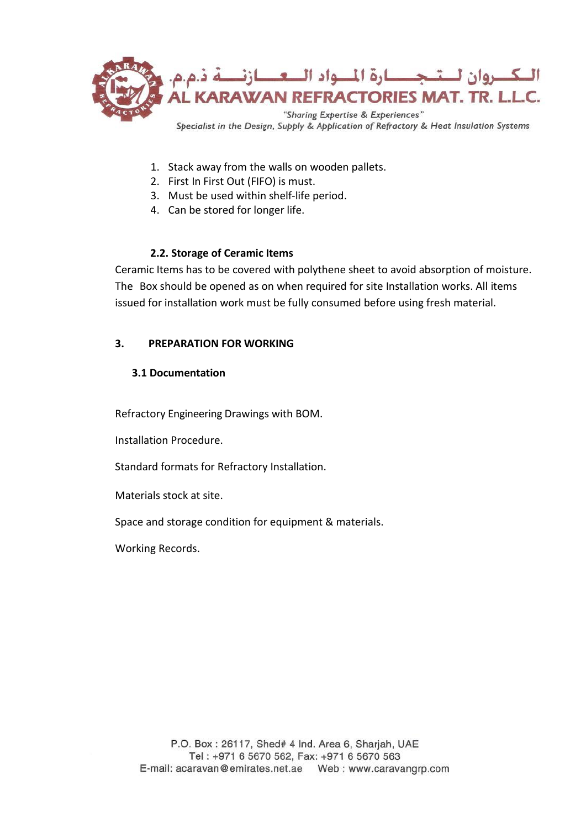

- 1. Stack away from the walls on wooden pallets.
- 2. First In First Out (FIFO) is must.
- 3. Must be used within shelf-life period.
- 4. Can be stored for longer life.

# **2.2. Storage of Ceramic Items**

Ceramic Items has to be covered with polythene sheet to avoid absorption of moisture. The Box should be opened as on when required for site Installation works. All items issued for installation work must be fully consumed before using fresh material.

# **3. PREPARATION FOR WORKING**

# **3.1 Documentation**

Refractory Engineering Drawings with BOM.

Installation Procedure.

Standard formats for Refractory Installation.

Materials stock at site.

Space and storage condition for equipment & materials.

Working Records.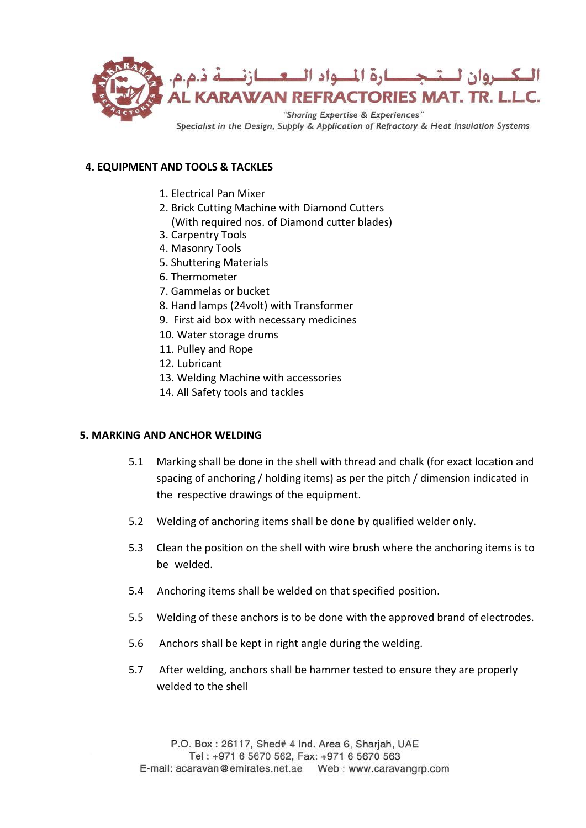

## **4. EQUIPMENT AND TOOLS & TACKLES**

- 1. Electrical Pan Mixer
- 2. Brick Cutting Machine with Diamond Cutters (With required nos. of Diamond cutter blades)
- 3. Carpentry Tools
- 4. Masonry Tools
- 5. Shuttering Materials
- 6. Thermometer
- 7. Gammelas or bucket
- 8. Hand lamps (24volt) with Transformer
- 9. First aid box with necessary medicines
- 10. Water storage drums
- 11. Pulley and Rope
- 12. Lubricant
- 13. Welding Machine with accessories
- 14. All Safety tools and tackles

## **5. MARKING AND ANCHOR WELDING**

- 5.1 Marking shall be done in the shell with thread and chalk (for exact location and spacing of anchoring / holding items) as per the pitch / dimension indicated in the respective drawings of the equipment.
- 5.2 Welding of anchoring items shall be done by qualified welder only.
- 5.3 Clean the position on the shell with wire brush where the anchoring items is to be welded.
- 5.4 Anchoring items shall be welded on that specified position.
- 5.5 Welding of these anchors is to be done with the approved brand of electrodes.
- 5.6 Anchors shall be kept in right angle during the welding.
- 5.7 After welding, anchors shall be hammer tested to ensure they are properly welded to the shell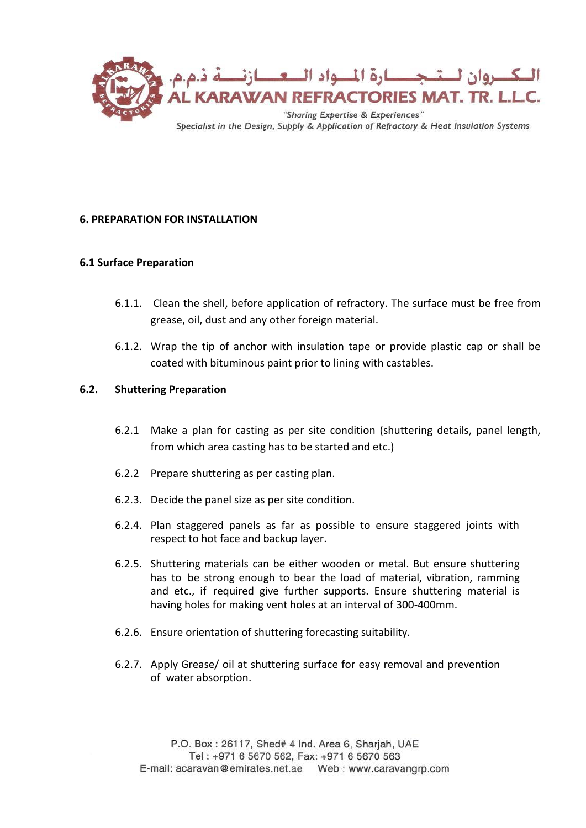

## **6. PREPARATION FOR INSTALLATION**

## **6.1 Surface Preparation**

- 6.1.1. Clean the shell, before application of refractory. The surface must be free from grease, oil, dust and any other foreign material.
- 6.1.2. Wrap the tip of anchor with insulation tape or provide plastic cap or shall be coated with bituminous paint prior to lining with castables.

## **6.2. Shuttering Preparation**

- 6.2.1 Make a plan for casting as per site condition (shuttering details, panel length, from which area casting has to be started and etc.)
- 6.2.2 Prepare shuttering as per casting plan.
- 6.2.3. Decide the panel size as per site condition.
- 6.2.4. Plan staggered panels as far as possible to ensure staggered joints with respect to hot face and backup layer.
- 6.2.5. Shuttering materials can be either wooden or metal. But ensure shuttering has to be strong enough to bear the load of material, vibration, ramming and etc., if required give further supports. Ensure shuttering material is having holes for making vent holes at an interval of 300-400mm.
- 6.2.6. Ensure orientation of shuttering forecasting suitability.
- 6.2.7. Apply Grease/ oil at shuttering surface for easy removal and prevention of water absorption.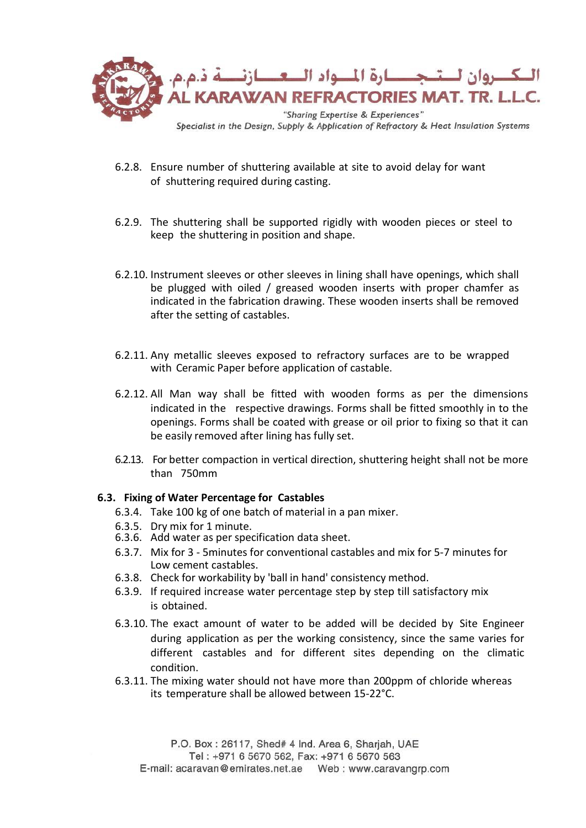

- 6.2.8. Ensure number of shuttering available at site to avoid delay for want of shuttering required during casting.
- 6.2.9. The shuttering shall be supported rigidly with wooden pieces or steel to keep the shuttering in position and shape.
- 6.2.10. Instrument sleeves or other sleeves in lining shall have openings, which shall be plugged with oiled / greased wooden inserts with proper chamfer as indicated in the fabrication drawing. These wooden inserts shall be removed after the setting of castables.
- 6.2.11. Any metallic sleeves exposed to refractory surfaces are to be wrapped with Ceramic Paper before application of castable.
- 6.2.12. All Man way shall be fitted with wooden forms as per the dimensions indicated in the respective drawings. Forms shall be fitted smoothly in to the openings. Forms shall be coated with grease or oil prior to fixing so that it can be easily removed after lining has fully set.
- 6.2.13. For better compaction in vertical direction, shuttering height shall not be more than 750mm

## **6.3. Fixing of Water Percentage for Castables**

- 6.3.4. Take 100 kg of one batch of material in a pan mixer.
- 6.3.5. Dry mix for 1 minute.
- 6.3.6. Add water as per specification data sheet.
- 6.3.7. Mix for 3 5minutes for conventional castables and mix for 5-7 minutes for Low cement castables.
- 6.3.8. Check for workability by 'ball in hand' consistency method.
- 6.3.9. If required increase water percentage step by step till satisfactory mix is obtained.
- 6.3.10. The exact amount of water to be added will be decided by Site Engineer during application as per the working consistency, since the same varies for different castables and for different sites depending on the climatic condition.
- 6.3.11. The mixing water should not have more than 200ppm of chloride whereas its temperature shall be allowed between 15-22°C.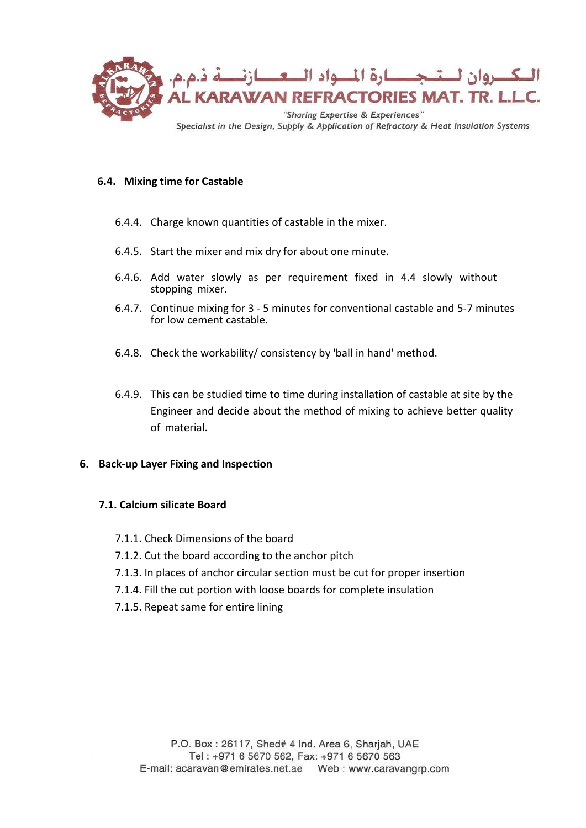

## **6.4. Mixing time for Castable**

- 6.4.4. Charge known quantities of castable in the mixer.
- 6.4.5. Start the mixer and mix dry for about one minute.
- 6.4.6. Add water slowly as per requirement fixed in 4.4 slowly without stopping mixer.
- 6.4.7. Continue mixing for 3 5 minutes for conventional castable and 5-7 minutes for low cement castable.
- 6.4.8. Check the workability/ consistency by 'ball in hand' method.
- 6.4.9. This can be studied time to time during installation of castable at site by the Engineer and decide about the method of mixing to achieve better quality of material.

#### **6. Back-up Layer Fixing and Inspection**

#### **7.1. Calcium silicate Board**

- 7.1.1. Check Dimensions of the board
- 7.1.2. Cut the board according to the anchor pitch
- 7.1.3. In places of anchor circular section must be cut for proper insertion
- 7.1.4. Fill the cut portion with loose boards for complete insulation
- 7.1.5. Repeat same for entire lining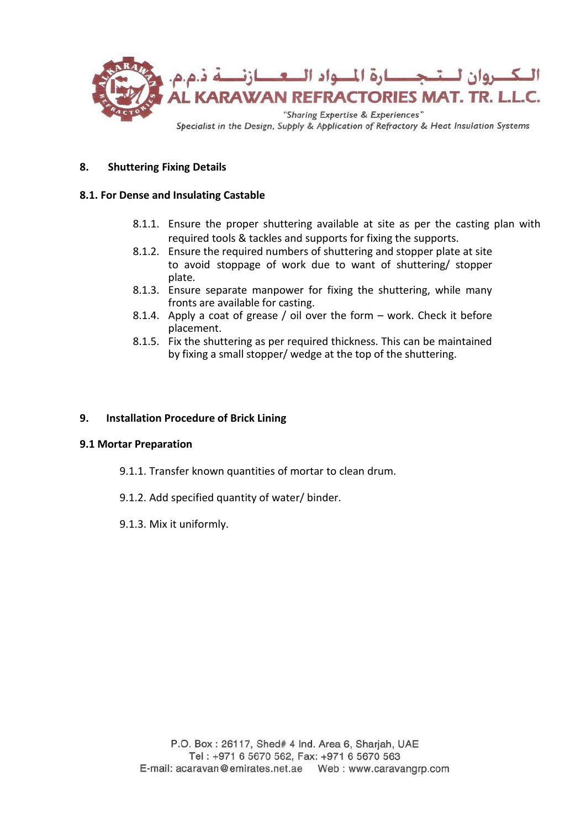

## **8. Shuttering Fixing Details**

#### **8.1. For Dense and Insulating Castable**

- 8.1.1. Ensure the proper shuttering available at site as per the casting plan with required tools & tackles and supports for fixing the supports.
- 8.1.2. Ensure the required numbers of shuttering and stopper plate at site to avoid stoppage of work due to want of shuttering/ stopper plate.
- 8.1.3. Ensure separate manpower for fixing the shuttering, while many fronts are available for casting.
- 8.1.4. Apply a coat of grease / oil over the form work. Check it before placement.
- 8.1.5. Fix the shuttering as per required thickness. This can be maintained by fixing a small stopper/ wedge at the top of the shuttering.

#### **9. Installation Procedure of Brick Lining**

#### **9.1 Mortar Preparation**

- 9.1.1. Transfer known quantities of mortar to clean drum.
- 9.1.2. Add specified quantity of water/ binder.
- 9.1.3. Mix it uniformly.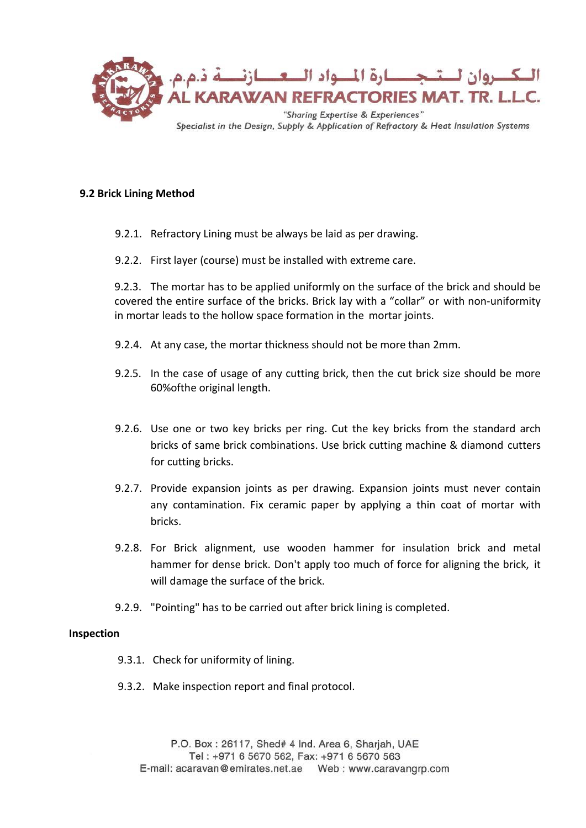

## **9.2 Brick Lining Method**

- 9.2.1. Refractory Lining must be always be laid as per drawing.
- 9.2.2. First layer (course) must be installed with extreme care.

9.2.3. The mortar has to be applied uniformly on the surface of the brick and should be covered the entire surface of the bricks. Brick lay with a "collar" or with non-uniformity in mortar leads to the hollow space formation in the mortar joints.

- 9.2.4. At any case, the mortar thickness should not be more than 2mm.
- 9.2.5. In the case of usage of any cutting brick, then the cut brick size should be more 60%ofthe original length.
- 9.2.6. Use one or two key bricks per ring. Cut the key bricks from the standard arch bricks of same brick combinations. Use brick cutting machine & diamond cutters for cutting bricks.
- 9.2.7. Provide expansion joints as per drawing. Expansion joints must never contain any contamination. Fix ceramic paper by applying a thin coat of mortar with bricks.
- 9.2.8. For Brick alignment, use wooden hammer for insulation brick and metal hammer for dense brick. Don't apply too much of force for aligning the brick, it will damage the surface of the brick.
- 9.2.9. "Pointing" has to be carried out after brick lining is completed.

## **Inspection**

- 9.3.1. Check for uniformity of lining.
- 9.3.2. Make inspection report and final protocol.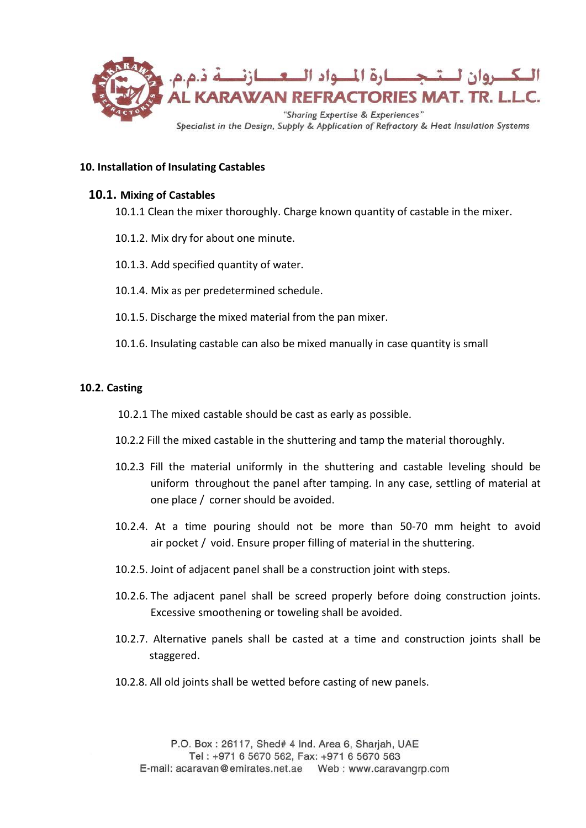

## **10. Installation of Insulating Castables**

## **10.1. Mixing of Castables**

- 10.1.1 Clean the mixer thoroughly. Charge known quantity of castable in the mixer.
- 10.1.2. Mix dry for about one minute.
- 10.1.3. Add specified quantity of water.
- 10.1.4. Mix as per predetermined schedule.
- 10.1.5. Discharge the mixed material from the pan mixer.
- 10.1.6. Insulating castable can also be mixed manually in case quantity is small

#### **10.2. Casting**

10.2.1 The mixed castable should be cast as early as possible.

- 10.2.2 Fill the mixed castable in the shuttering and tamp the material thoroughly.
- 10.2.3 Fill the material uniformly in the shuttering and castable leveling should be uniform throughout the panel after tamping. In any case, settling of material at one place / corner should be avoided.
- 10.2.4. At a time pouring should not be more than 50-70 mm height to avoid air pocket / void. Ensure proper filling of material in the shuttering.
- 10.2.5. Joint of adjacent panel shall be a construction joint with steps.
- 10.2.6. The adjacent panel shall be screed properly before doing construction joints. Excessive smoothening or toweling shall be avoided.
- 10.2.7. Alternative panels shall be casted at a time and construction joints shall be staggered.
- 10.2.8. All old joints shall be wetted before casting of new panels.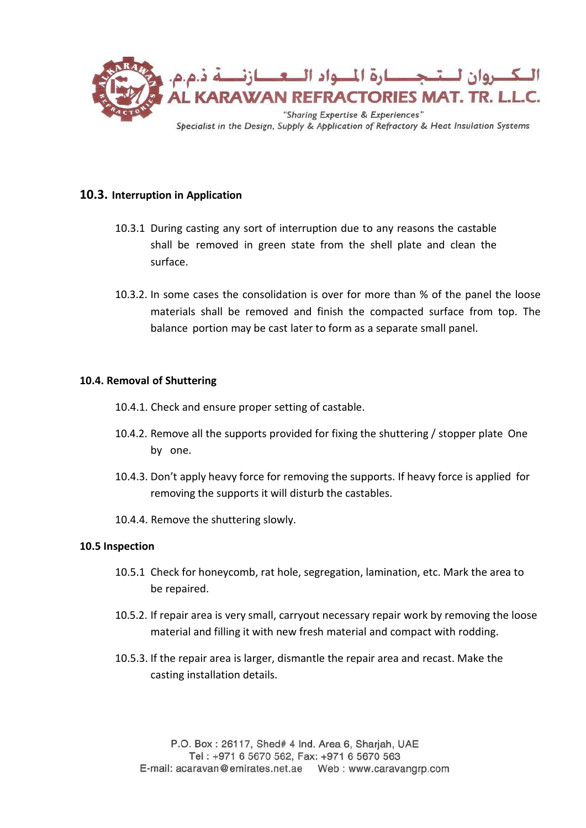

# **10.3. Interruption in Application**

- 10.3.1 During casting any sort of interruption due to any reasons the castable shall be removed in green state from the shell plate and clean the surface.
- 10.3.2. In some cases the consolidation is over for more than % of the panel the loose materials shall be removed and finish the compacted surface from top. The balance portion may be cast later to form as a separate small panel.

## **10.4. Removal of Shuttering**

- 10.4.1. Check and ensure proper setting of castable.
- 10.4.2. Remove all the supports provided for fixing the shuttering / stopper plate One by one.
- 10.4.3. Don't apply heavy force for removing the supports. If heavy force is applied for removing the supports it will disturb the castables.
- 10.4.4. Remove the shuttering slowly.

#### **10.5 Inspection**

- 10.5.1 Check for honeycomb, rat hole, segregation, lamination, etc. Mark the area to be repaired.
- 10.5.2. If repair area is very small, carryout necessary repair work by removing the loose material and filling it with new fresh material and compact with rodding.
- 10.5.3. If the repair area is larger, dismantle the repair area and recast. Make the casting installation details.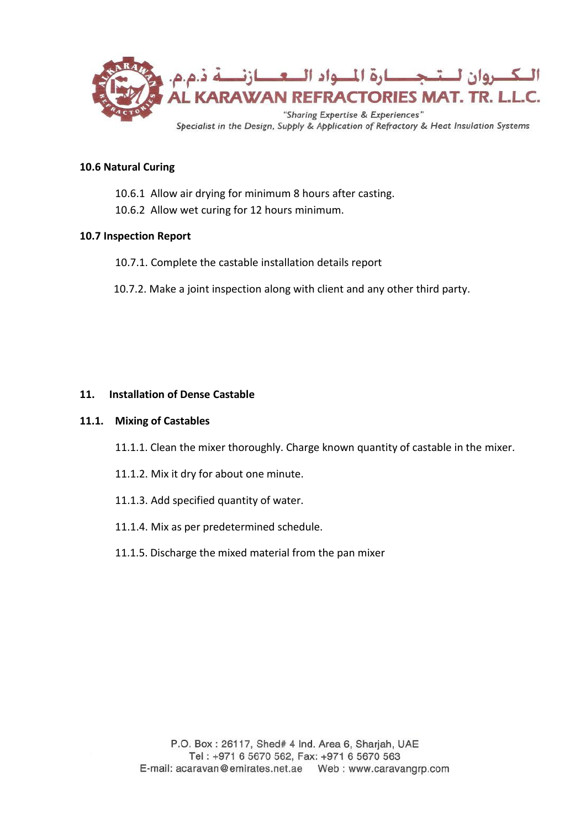

## **10.6 Natural Curing**

- 10.6.1 Allow air drying for minimum 8 hours after casting.
- 10.6.2 Allow wet curing for 12 hours minimum.

## **10.7 Inspection Report**

- 10.7.1. Complete the castable installation details report
- 10.7.2. Make a joint inspection along with client and any other third party.

## **11. Installation of Dense Castable**

#### **11.1. Mixing of Castables**

- 11.1.1. Clean the mixer thoroughly. Charge known quantity of castable in the mixer.
- 11.1.2. Mix it dry for about one minute.
- 11.1.3. Add specified quantity of water.
- 11.1.4. Mix as per predetermined schedule.
- 11.1.5. Discharge the mixed material from the pan mixer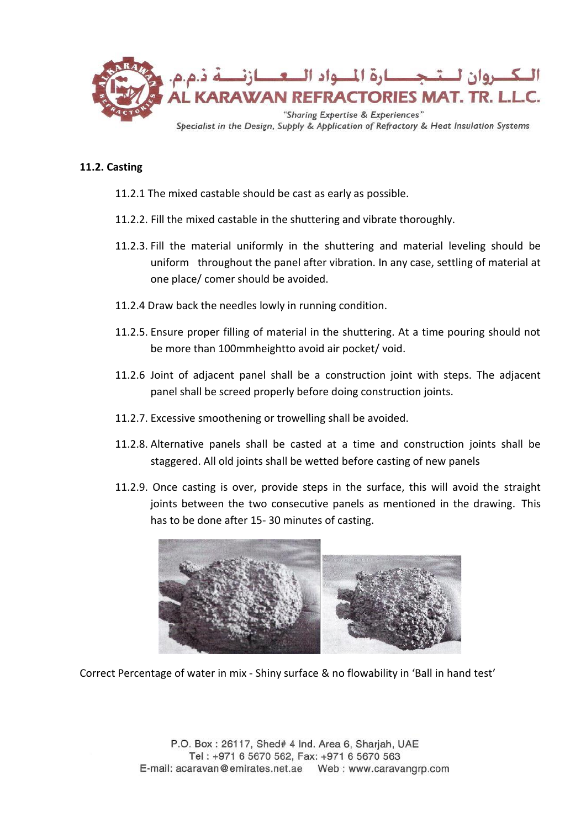

## **11.2. Casting**

- 11.2.1 The mixed castable should be cast as early as possible.
- 11.2.2. Fill the mixed castable in the shuttering and vibrate thoroughly.
- 11.2.3. Fill the material uniformly in the shuttering and material leveling should be uniform throughout the panel after vibration. In any case, settling of material at one place/ comer should be avoided.
- 11.2.4 Draw back the needles lowly in running condition.
- 11.2.5. Ensure proper filling of material in the shuttering. At a time pouring should not be more than 100mmheightto avoid air pocket/ void.
- 11.2.6 Joint of adjacent panel shall be a construction joint with steps. The adjacent panel shall be screed properly before doing construction joints.
- 11.2.7. Excessive smoothening or trowelling shall be avoided.
- 11.2.8. Alternative panels shall be casted at a time and construction joints shall be staggered. All old joints shall be wetted before casting of new panels
- 11.2.9. Once casting is over, provide steps in the surface, this will avoid the straight joints between the two consecutive panels as mentioned in the drawing. This has to be done after 15- 30 minutes of casting.



Correct Percentage of water in mix - Shiny surface & no flowability in 'Ball in hand test'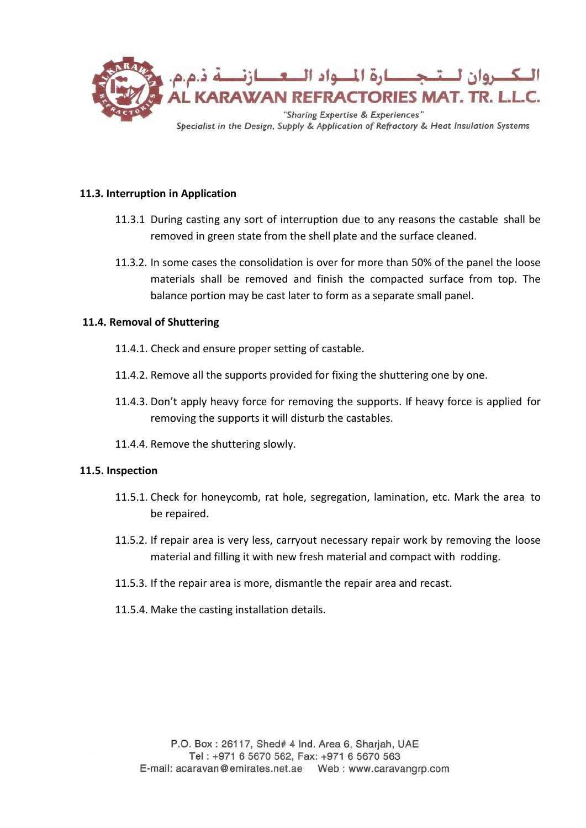

## **11.3. Interruption in Application**

- 11.3.1 During casting any sort of interruption due to any reasons the castable shall be removed in green state from the shell plate and the surface cleaned.
- 11.3.2. In some cases the consolidation is over for more than 50% of the panel the loose materials shall be removed and finish the compacted surface from top. The balance portion may be cast later to form as a separate small panel.

#### **11.4. Removal of Shuttering**

- 11.4.1. Check and ensure proper setting of castable.
- 11.4.2. Remove all the supports provided for fixing the shuttering one by one.
- 11.4.3. Don't apply heavy force for removing the supports. If heavy force is applied for removing the supports it will disturb the castables.
- 11.4.4. Remove the shuttering slowly.

#### **11.5. Inspection**

- 11.5.1. Check for honeycomb, rat hole, segregation, lamination, etc. Mark the area to be repaired.
- 11.5.2. If repair area is very less, carryout necessary repair work by removing the loose material and filling it with new fresh material and compact with rodding.
- 11.5.3. If the repair area is more, dismantle the repair area and recast.
- 11.5.4. Make the casting installation details.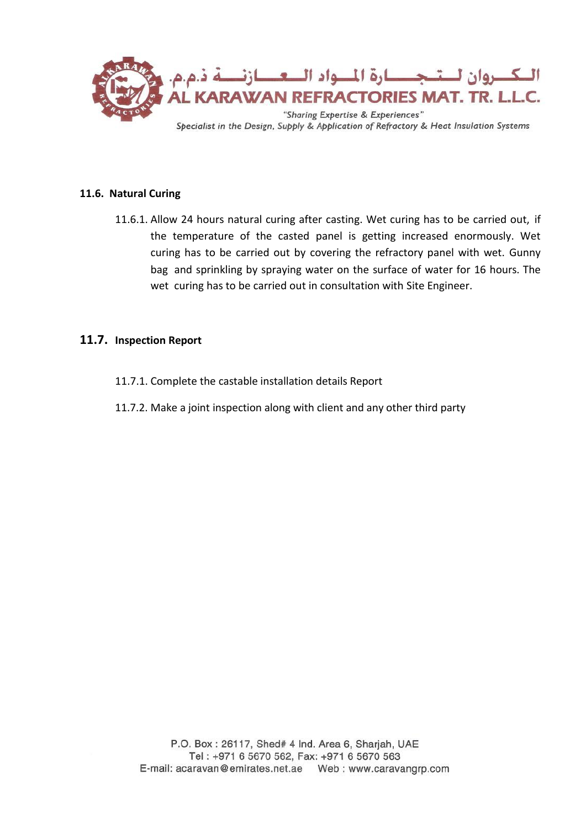

## **11.6. Natural Curing**

11.6.1. Allow 24 hours natural curing after casting. Wet curing has to be carried out, if the temperature of the casted panel is getting increased enormously. Wet curing has to be carried out by covering the refractory panel with wet. Gunny bag and sprinkling by spraying water on the surface of water for 16 hours. The wet curing has to be carried out in consultation with Site Engineer.

## **11.7. Inspection Report**

- 11.7.1. Complete the castable installation details Report
- 11.7.2. Make a joint inspection along with client and any other third party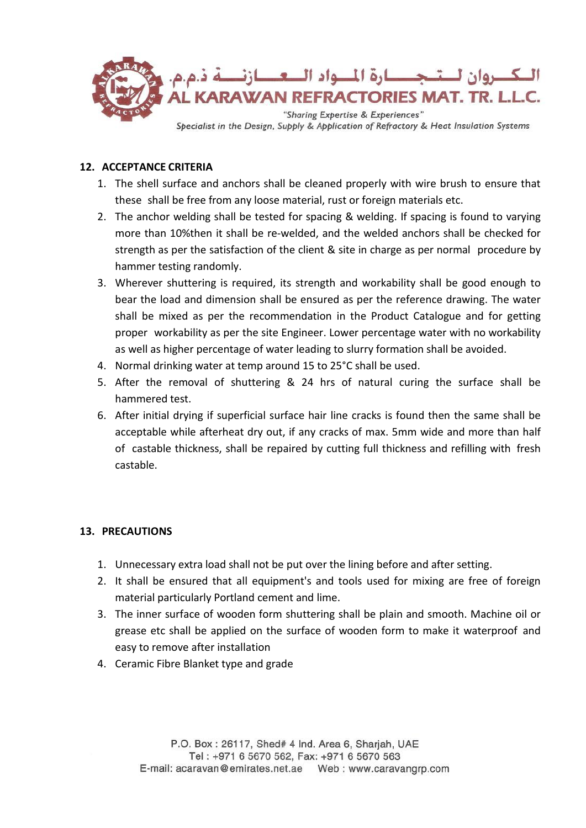

# **12. ACCEPTANCE CRITERIA**

- 1. The shell surface and anchors shall be cleaned properly with wire brush to ensure that these shall be free from any loose material, rust or foreign materials etc.
- 2. The anchor welding shall be tested for spacing & welding. If spacing is found to varying more than 10%then it shall be re-welded, and the welded anchors shall be checked for strength as per the satisfaction of the client & site in charge as per normal procedure by hammer testing randomly.
- 3. Wherever shuttering is required, its strength and workability shall be good enough to bear the load and dimension shall be ensured as per the reference drawing. The water shall be mixed as per the recommendation in the Product Catalogue and for getting proper workability as per the site Engineer. Lower percentage water with no workability as well as higher percentage of water leading to slurry formation shall be avoided.
- 4. Normal drinking water at temp around 15 to 25°C shall be used.
- 5. After the removal of shuttering & 24 hrs of natural curing the surface shall be hammered test.
- 6. After initial drying if superficial surface hair line cracks is found then the same shall be acceptable while afterheat dry out, if any cracks of max. 5mm wide and more than half of castable thickness, shall be repaired by cutting full thickness and refilling with fresh castable.

# **13. PRECAUTIONS**

- 1. Unnecessary extra load shall not be put over the lining before and after setting.
- 2. It shall be ensured that all equipment's and tools used for mixing are free of foreign material particularly Portland cement and lime.
- 3. The inner surface of wooden form shuttering shall be plain and smooth. Machine oil or grease etc shall be applied on the surface of wooden form to make it waterproof and easy to remove after installation
- 4. Ceramic Fibre Blanket type and grade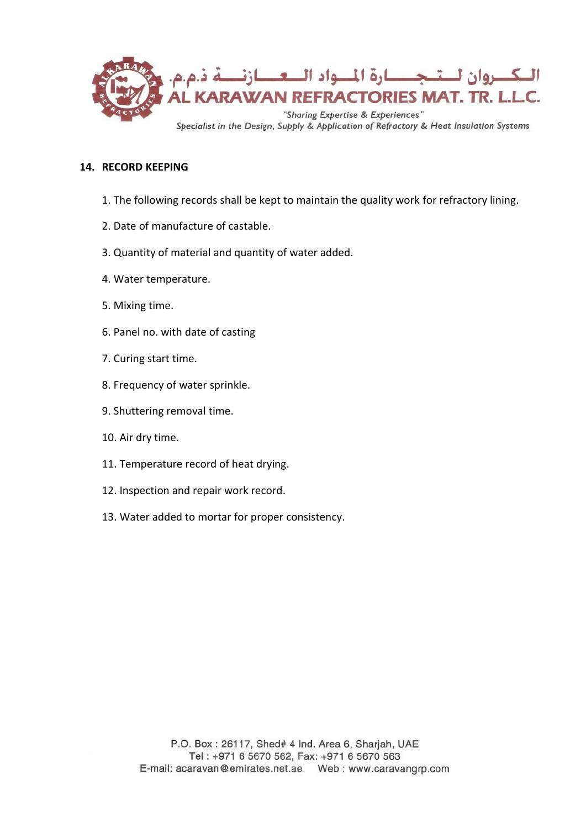

## **14. RECORD KEEPING**

- 1. The following records shall be kept to maintain the quality work for refractory lining.
- 2. Date of manufacture of castable.
- 3. Quantity of material and quantity of water added.
- 4. Water temperature.
- 5. Mixing time.
- 6. Panel no. with date of casting
- 7. Curing start time.
- 8. Frequency of water sprinkle.
- 9. Shuttering removal time.
- 10. Air dry time.
- 11. Temperature record of heat drying.
- 12. Inspection and repair work record.
- 13. Water added to mortar for proper consistency.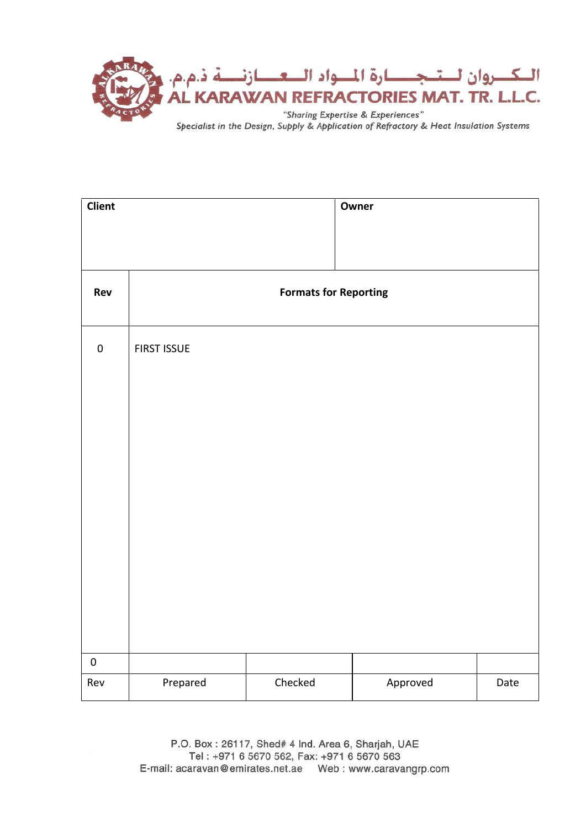

| <b>Client</b>    |                              |         | Owner    |      |
|------------------|------------------------------|---------|----------|------|
|                  |                              |         |          |      |
|                  |                              |         |          |      |
| Rev              | <b>Formats for Reporting</b> |         |          |      |
|                  |                              |         |          |      |
| $\pmb{0}$        | <b>FIRST ISSUE</b>           |         |          |      |
|                  |                              |         |          |      |
|                  |                              |         |          |      |
|                  |                              |         |          |      |
|                  |                              |         |          |      |
|                  |                              |         |          |      |
|                  |                              |         |          |      |
|                  |                              |         |          |      |
|                  |                              |         |          |      |
|                  |                              |         |          |      |
|                  |                              |         |          |      |
|                  |                              |         |          |      |
|                  |                              |         |          |      |
| $\pmb{0}$<br>Rev | Prepared                     | Checked | Approved | Date |
|                  |                              |         |          |      |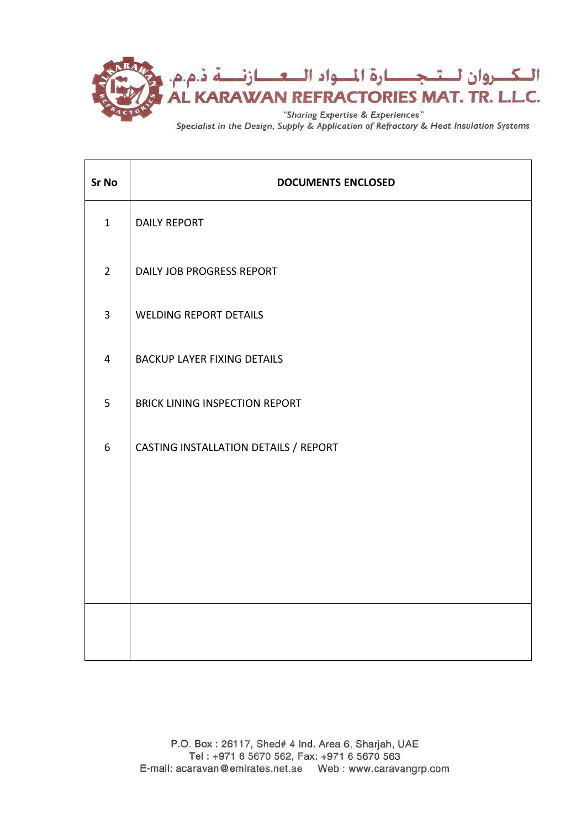

| <b>DOCUMENTS ENCLOSED</b>             |  |  |
|---------------------------------------|--|--|
| <b>DAILY REPORT</b>                   |  |  |
| DAILY JOB PROGRESS REPORT             |  |  |
| <b>WELDING REPORT DETAILS</b>         |  |  |
| <b>BACKUP LAYER FIXING DETAILS</b>    |  |  |
| BRICK LINING INSPECTION REPORT        |  |  |
| CASTING INSTALLATION DETAILS / REPORT |  |  |
|                                       |  |  |
|                                       |  |  |
|                                       |  |  |
|                                       |  |  |
|                                       |  |  |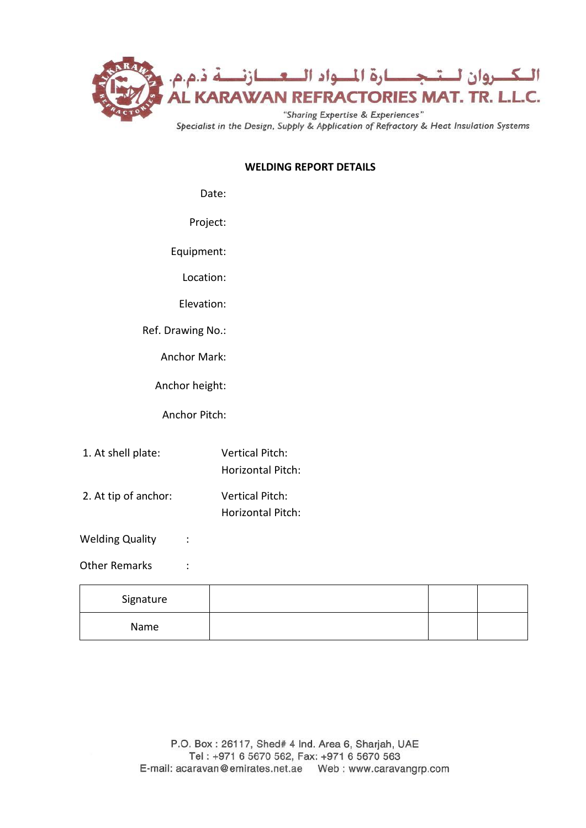

## **WELDING REPORT DETAILS**

## Date:

Project:

Equipment:

Location:

Elevation:

Ref. Drawing No.:

Anchor Mark:

Anchor height:

Anchor Pitch:

- 1. At shell plate: Vertical Pitch: Horizontal Pitch:
- 2. At tip of anchor: Vertical Pitch: Horizontal Pitch:

Welding Quality :

## Other Remarks :

| Signature |  |  |
|-----------|--|--|
| Name      |  |  |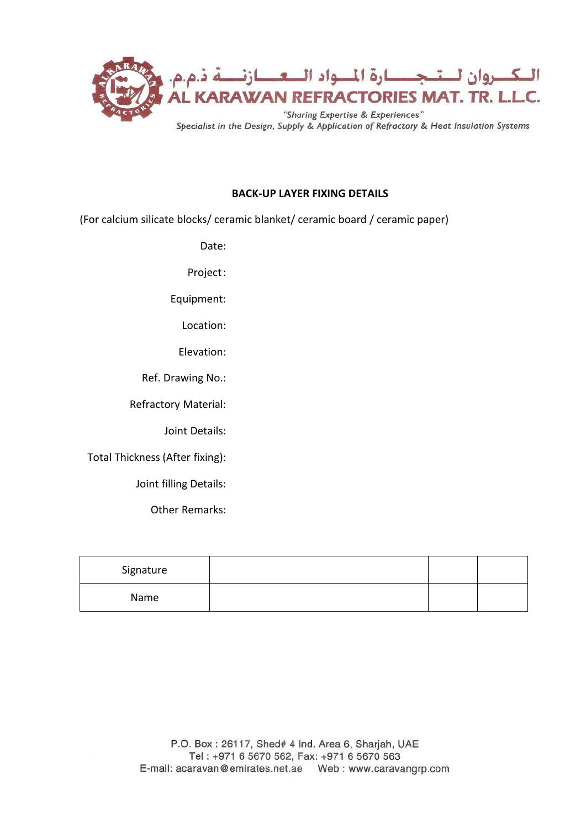

## **BACK-UP LAYER FIXING DETAILS**

(For calcium silicate blocks/ ceramic blanket/ ceramic board / ceramic paper)

Date:

Project:

Equipment:

Location:

Elevation:

Ref. Drawing No.:

Refractory Material:

Joint Details:

Total Thickness (After fixing):

Joint filling Details:

Other Remarks:

| Signature |  |  |
|-----------|--|--|
| Name      |  |  |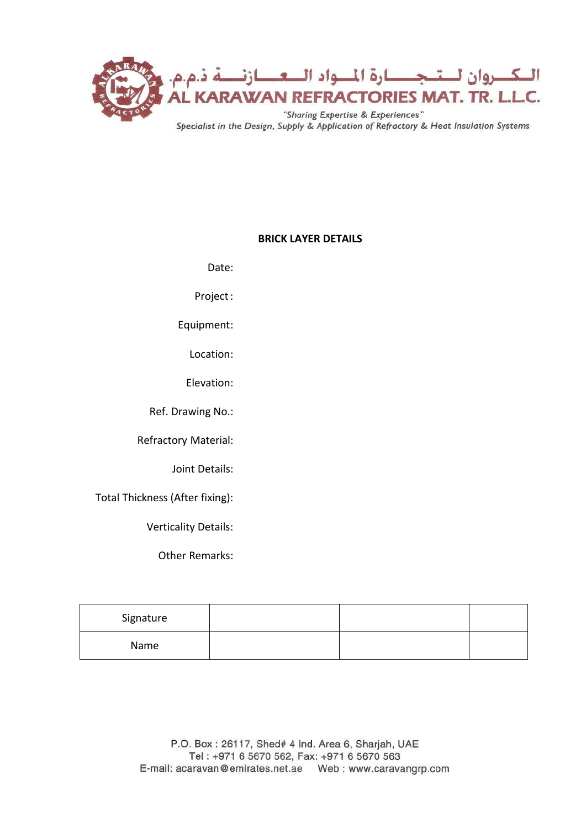

# **BRICK LAYER DETAILS**

Date:

Project:

Equipment:

Location:

Elevation:

Ref. Drawing No.:

Refractory Material:

Joint Details:

Total Thickness (After fixing):

Verticality Details:

Other Remarks:

| Signature |  |  |
|-----------|--|--|
| Name      |  |  |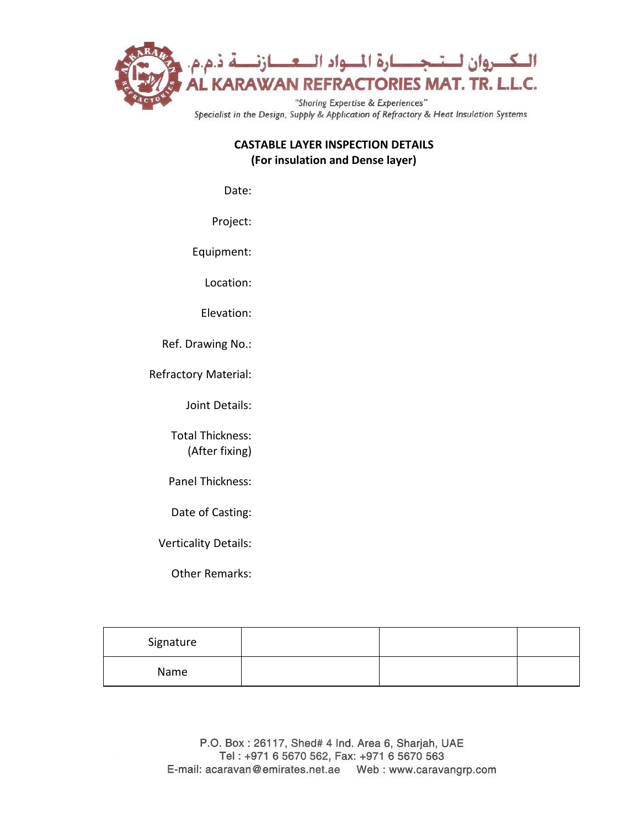

## **CASTABLE LAYER INSPECTION DETAILS (For insulation and Dense layer)**

Date:

Project:

Equipment:

Location:

Elevation:

Ref. Drawing No.:

Refractory Material:

Joint Details:

Total Thickness: (After fixing)

Panel Thickness:

Date of Casting:

Verticality Details:

Other Remarks:

| Signature |  |  |
|-----------|--|--|
| Name      |  |  |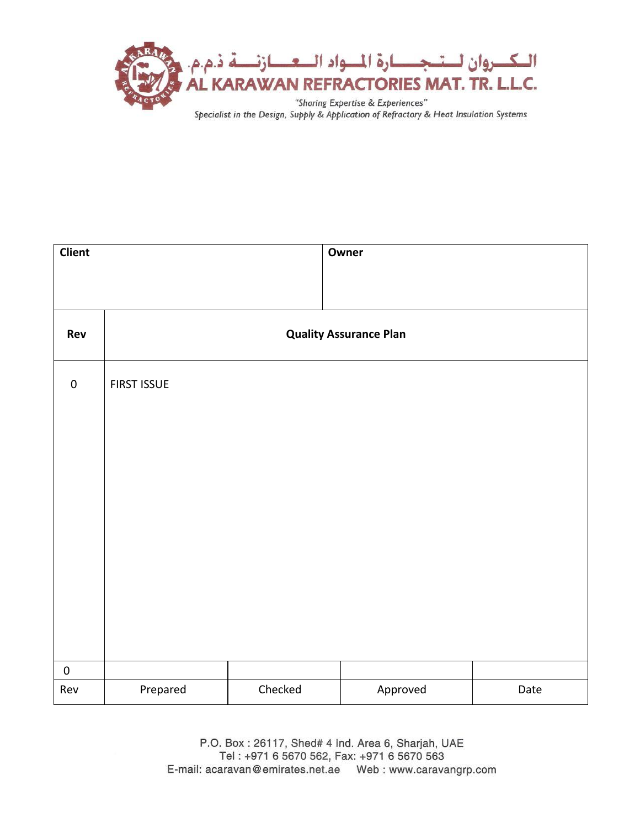

| <b>Client</b> |                               |         | Owner    |      |
|---------------|-------------------------------|---------|----------|------|
|               |                               |         |          |      |
|               |                               |         |          |      |
| Rev           | <b>Quality Assurance Plan</b> |         |          |      |
| $\pmb{0}$     | <b>FIRST ISSUE</b>            |         |          |      |
|               |                               |         |          |      |
|               |                               |         |          |      |
|               |                               |         |          |      |
|               |                               |         |          |      |
|               |                               |         |          |      |
|               |                               |         |          |      |
|               |                               |         |          |      |
|               |                               |         |          |      |
|               |                               |         |          |      |
| $\pmb{0}$     |                               |         |          |      |
| Rev           | Prepared                      | Checked | Approved | Date |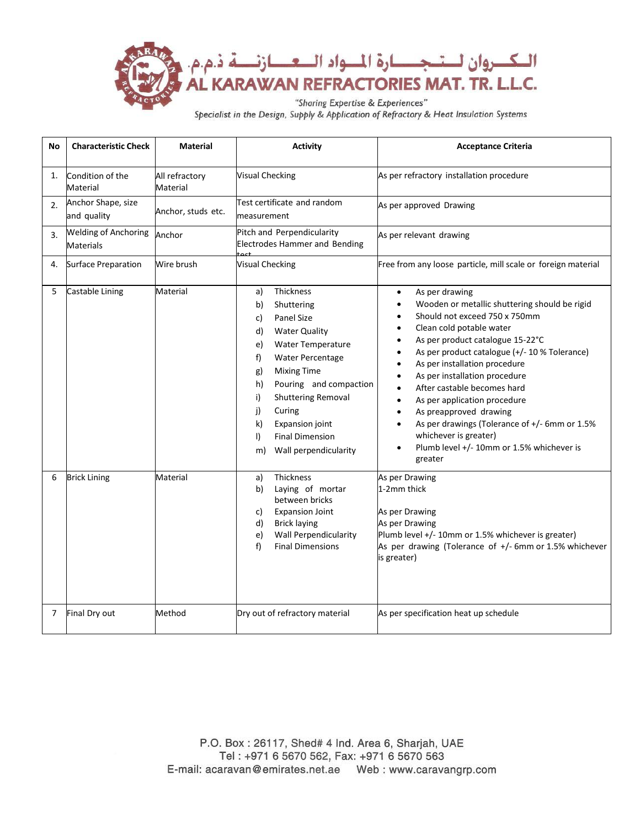

Specialist in the Design, Supply & Application of Refractory & Heat Insulation Systems

| No | <b>Characteristic Check</b>                     | <b>Material</b>            | <b>Activity</b>                                                                                                                                                                                                                                                                                                                                        | <b>Acceptance Criteria</b>                                                                                                                                                                                                                                                                                                                                                                                                                                                                                                                                                                                |
|----|-------------------------------------------------|----------------------------|--------------------------------------------------------------------------------------------------------------------------------------------------------------------------------------------------------------------------------------------------------------------------------------------------------------------------------------------------------|-----------------------------------------------------------------------------------------------------------------------------------------------------------------------------------------------------------------------------------------------------------------------------------------------------------------------------------------------------------------------------------------------------------------------------------------------------------------------------------------------------------------------------------------------------------------------------------------------------------|
| 1. | Condition of the<br>Material                    | All refractory<br>Material | <b>Visual Checking</b>                                                                                                                                                                                                                                                                                                                                 | As per refractory installation procedure                                                                                                                                                                                                                                                                                                                                                                                                                                                                                                                                                                  |
| 2. | Anchor Shape, size<br>and quality               | Anchor, studs etc.         | Test certificate and random<br>measurement                                                                                                                                                                                                                                                                                                             | As per approved Drawing                                                                                                                                                                                                                                                                                                                                                                                                                                                                                                                                                                                   |
| 3. | <b>Welding of Anchoring</b><br><b>Materials</b> | Anchor                     | Pitch and Perpendicularity<br><b>Electrodes Hammer and Bending</b>                                                                                                                                                                                                                                                                                     | As per relevant drawing                                                                                                                                                                                                                                                                                                                                                                                                                                                                                                                                                                                   |
| 4. | <b>Surface Preparation</b>                      | Wire brush                 | <b>Visual Checking</b>                                                                                                                                                                                                                                                                                                                                 | Free from any loose particle, mill scale or foreign material                                                                                                                                                                                                                                                                                                                                                                                                                                                                                                                                              |
| 5  | Castable Lining                                 | Material                   | Thickness<br>a)<br>Shuttering<br>b)<br>Panel Size<br>c)<br><b>Water Quality</b><br>d)<br>Water Temperature<br>e)<br>Water Percentage<br>f)<br><b>Mixing Time</b><br>g)<br>Pouring and compaction<br>h)<br><b>Shuttering Removal</b><br>i)<br>Curing<br>i)<br>Expansion joint<br>k)<br><b>Final Dimension</b><br>$\vert$<br>Wall perpendicularity<br>m) | As per drawing<br>$\bullet$<br>Wooden or metallic shuttering should be rigid<br>$\bullet$<br>Should not exceed 750 x 750mm<br>$\bullet$<br>Clean cold potable water<br>As per product catalogue 15-22°C<br>$\bullet$<br>As per product catalogue (+/- 10 % Tolerance)<br>As per installation procedure<br>As per installation procedure<br>After castable becomes hard<br>As per application procedure<br>$\bullet$<br>As preapproved drawing<br>$\bullet$<br>As per drawings (Tolerance of +/- 6mm or 1.5%<br>$\bullet$<br>whichever is greater)<br>Plumb level +/- 10mm or 1.5% whichever is<br>greater |
| 6  | <b>Brick Lining</b>                             | Material                   | Thickness<br>a)<br>Laying of mortar<br>b)<br>between bricks<br><b>Expansion Joint</b><br>C)<br><b>Brick laying</b><br>d)<br><b>Wall Perpendicularity</b><br>e)<br>f<br><b>Final Dimensions</b>                                                                                                                                                         | As per Drawing<br>1-2mm thick<br>As per Drawing<br>As per Drawing<br>Plumb level +/- 10mm or 1.5% whichever is greater)<br>As per drawing (Tolerance of +/- 6mm or 1.5% whichever<br>is greater)                                                                                                                                                                                                                                                                                                                                                                                                          |
| 7  | Final Dry out                                   | Method                     | Dry out of refractory material                                                                                                                                                                                                                                                                                                                         | As per specification heat up schedule                                                                                                                                                                                                                                                                                                                                                                                                                                                                                                                                                                     |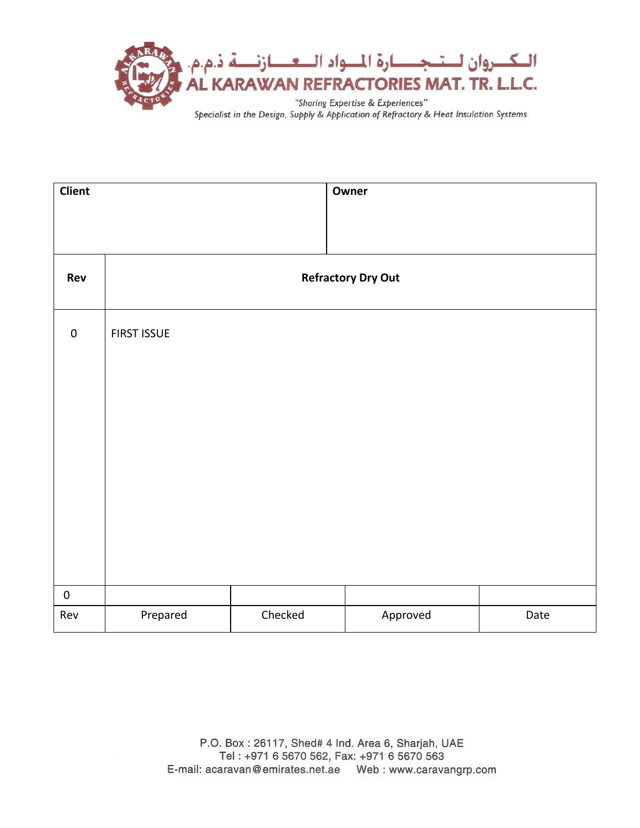

| <b>Client</b> |                           |         | Owner    |      |
|---------------|---------------------------|---------|----------|------|
|               |                           |         |          |      |
|               |                           |         |          |      |
| Rev           | <b>Refractory Dry Out</b> |         |          |      |
|               |                           |         |          |      |
| $\pmb{0}$     | <b>FIRST ISSUE</b>        |         |          |      |
|               |                           |         |          |      |
|               |                           |         |          |      |
|               |                           |         |          |      |
|               |                           |         |          |      |
|               |                           |         |          |      |
|               |                           |         |          |      |
|               |                           |         |          |      |
|               |                           |         |          |      |
| $\pmb{0}$     |                           |         |          |      |
| Rev           | Prepared                  | Checked | Approved | Date |